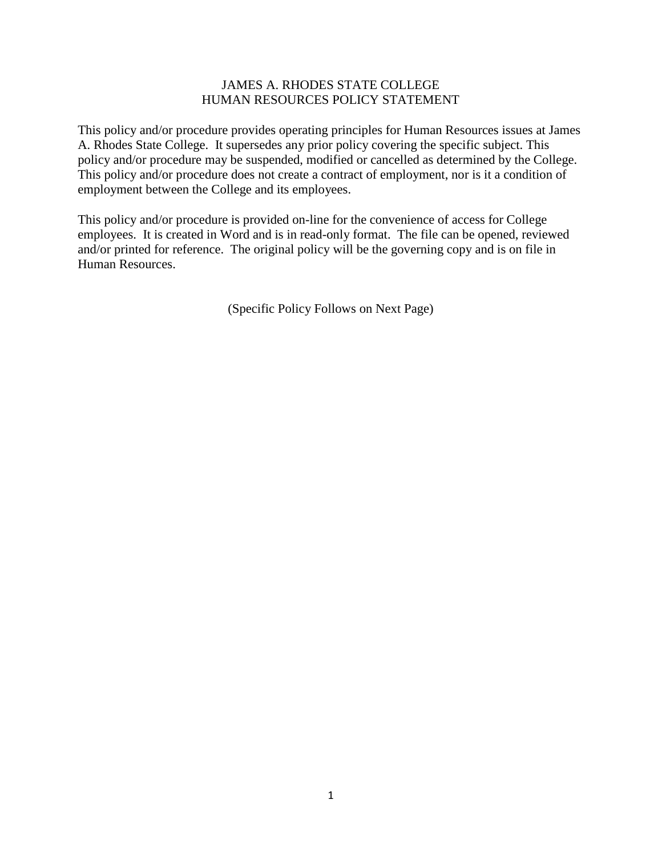# JAMES A. RHODES STATE COLLEGE HUMAN RESOURCES POLICY STATEMENT

This policy and/or procedure provides operating principles for Human Resources issues at James A. Rhodes State College. It supersedes any prior policy covering the specific subject. This policy and/or procedure may be suspended, modified or cancelled as determined by the College. This policy and/or procedure does not create a contract of employment, nor is it a condition of employment between the College and its employees.

This policy and/or procedure is provided on-line for the convenience of access for College employees. It is created in Word and is in read-only format. The file can be opened, reviewed and/or printed for reference. The original policy will be the governing copy and is on file in Human Resources.

(Specific Policy Follows on Next Page)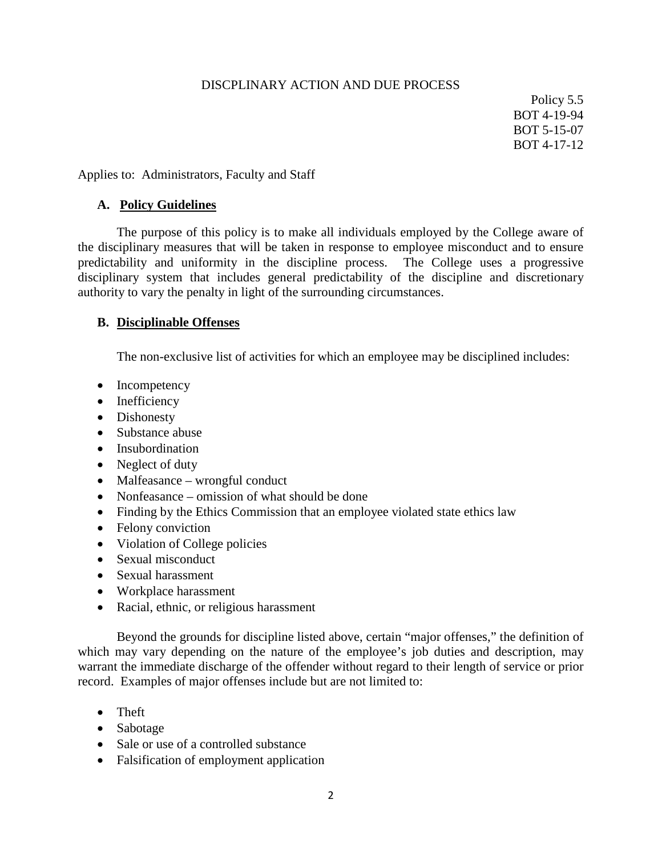## DISCPLINARY ACTION AND DUE PROCESS

Policy 5.5 BOT 4-19-94 BOT 5-15-07 BOT 4-17-12

Applies to: Administrators, Faculty and Staff

### **A. Policy Guidelines**

The purpose of this policy is to make all individuals employed by the College aware of the disciplinary measures that will be taken in response to employee misconduct and to ensure predictability and uniformity in the discipline process. The College uses a progressive disciplinary system that includes general predictability of the discipline and discretionary authority to vary the penalty in light of the surrounding circumstances.

### **B. Disciplinable Offenses**

The non-exclusive list of activities for which an employee may be disciplined includes:

- Incompetency
- Inefficiency
- Dishonesty
- Substance abuse
- Insubordination
- Neglect of duty
- Malfeasance wrongful conduct
- Nonfeasance omission of what should be done
- Finding by the Ethics Commission that an employee violated state ethics law
- Felony conviction
- Violation of College policies
- Sexual misconduct
- Sexual harassment
- Workplace harassment
- Racial, ethnic, or religious harassment

Beyond the grounds for discipline listed above, certain "major offenses," the definition of which may vary depending on the nature of the employee's job duties and description, may warrant the immediate discharge of the offender without regard to their length of service or prior record. Examples of major offenses include but are not limited to:

- Theft
- Sabotage
- Sale or use of a controlled substance
- Falsification of employment application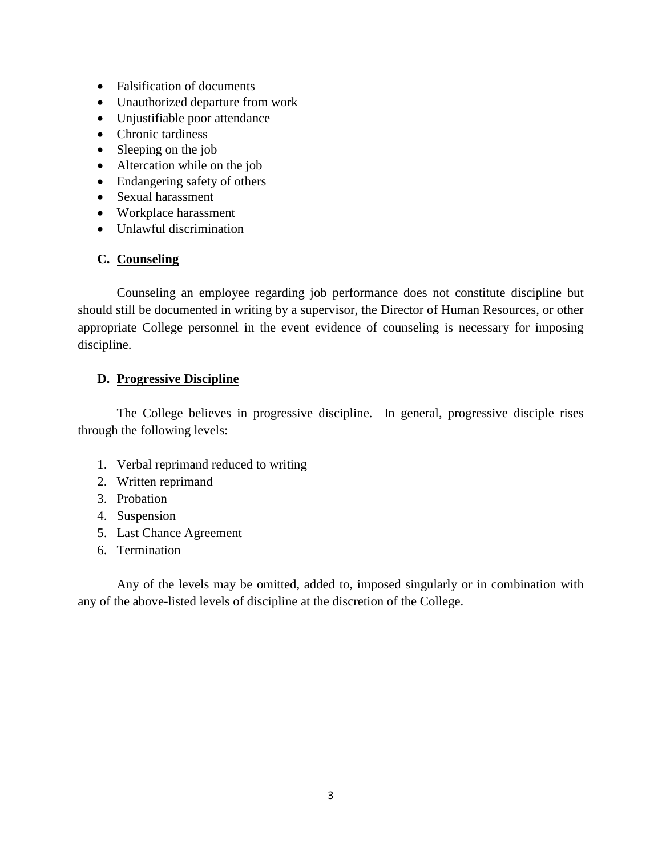- Falsification of documents
- Unauthorized departure from work
- Unjustifiable poor attendance
- Chronic tardiness
- Sleeping on the job
- Altercation while on the job
- Endangering safety of others
- Sexual harassment
- Workplace harassment
- Unlawful discrimination

# **C. Counseling**

Counseling an employee regarding job performance does not constitute discipline but should still be documented in writing by a supervisor, the Director of Human Resources, or other appropriate College personnel in the event evidence of counseling is necessary for imposing discipline.

# **D. Progressive Discipline**

The College believes in progressive discipline. In general, progressive disciple rises through the following levels:

- 1. Verbal reprimand reduced to writing
- 2. Written reprimand
- 3. Probation
- 4. Suspension
- 5. Last Chance Agreement
- 6. Termination

Any of the levels may be omitted, added to, imposed singularly or in combination with any of the above-listed levels of discipline at the discretion of the College.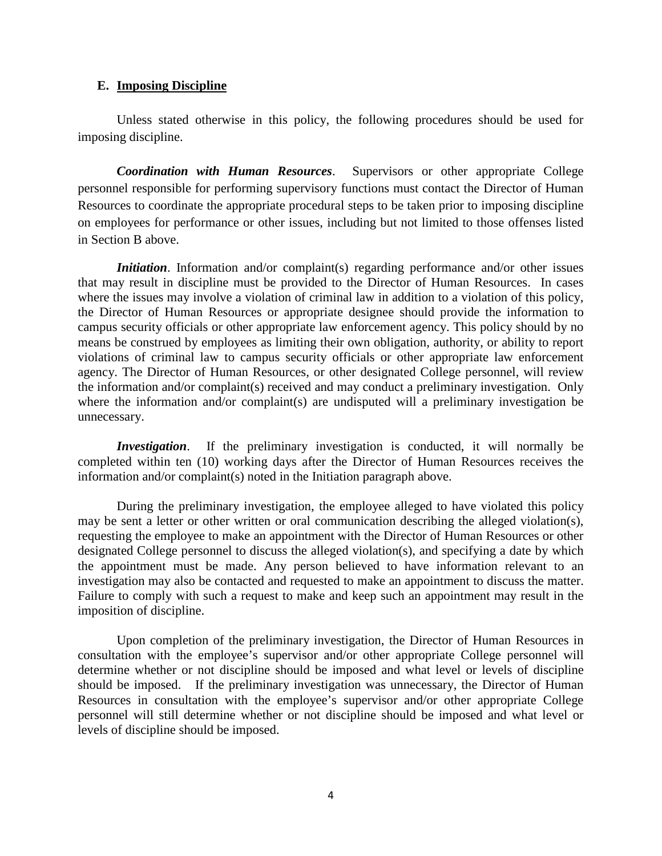### **E. Imposing Discipline**

Unless stated otherwise in this policy, the following procedures should be used for imposing discipline.

*Coordination with Human Resources*. Supervisors or other appropriate College personnel responsible for performing supervisory functions must contact the Director of Human Resources to coordinate the appropriate procedural steps to be taken prior to imposing discipline on employees for performance or other issues, including but not limited to those offenses listed in Section B above.

*Initiation*. Information and/or complaint(s) regarding performance and/or other issues that may result in discipline must be provided to the Director of Human Resources. In cases where the issues may involve a violation of criminal law in addition to a violation of this policy, the Director of Human Resources or appropriate designee should provide the information to campus security officials or other appropriate law enforcement agency. This policy should by no means be construed by employees as limiting their own obligation, authority, or ability to report violations of criminal law to campus security officials or other appropriate law enforcement agency. The Director of Human Resources, or other designated College personnel, will review the information and/or complaint(s) received and may conduct a preliminary investigation. Only where the information and/or complaint(s) are undisputed will a preliminary investigation be unnecessary.

*Investigation*. If the preliminary investigation is conducted, it will normally be completed within ten (10) working days after the Director of Human Resources receives the information and/or complaint(s) noted in the Initiation paragraph above.

During the preliminary investigation, the employee alleged to have violated this policy may be sent a letter or other written or oral communication describing the alleged violation(s), requesting the employee to make an appointment with the Director of Human Resources or other designated College personnel to discuss the alleged violation(s), and specifying a date by which the appointment must be made. Any person believed to have information relevant to an investigation may also be contacted and requested to make an appointment to discuss the matter. Failure to comply with such a request to make and keep such an appointment may result in the imposition of discipline.

Upon completion of the preliminary investigation, the Director of Human Resources in consultation with the employee's supervisor and/or other appropriate College personnel will determine whether or not discipline should be imposed and what level or levels of discipline should be imposed. If the preliminary investigation was unnecessary, the Director of Human Resources in consultation with the employee's supervisor and/or other appropriate College personnel will still determine whether or not discipline should be imposed and what level or levels of discipline should be imposed.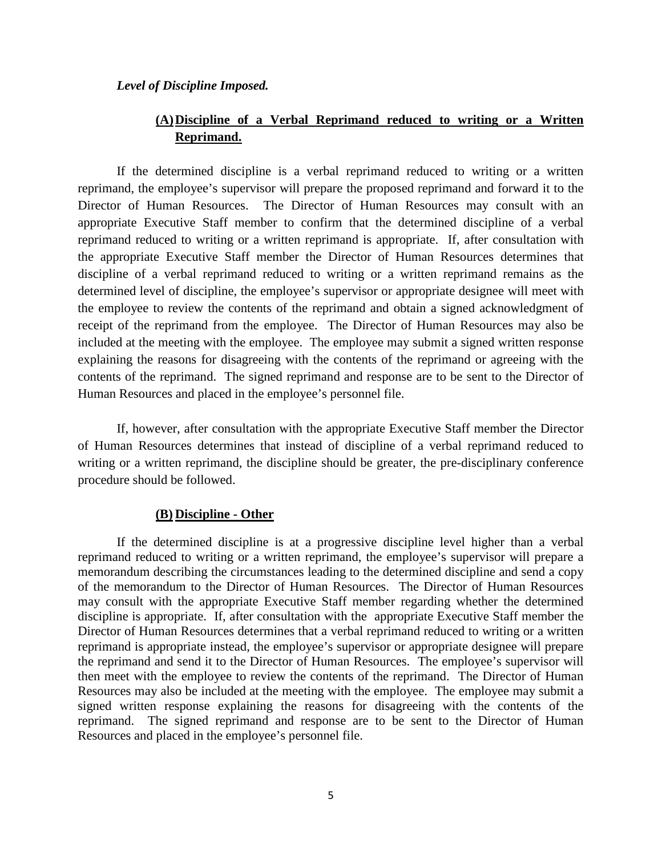#### *Level of Discipline Imposed.*

# **(A)Discipline of a Verbal Reprimand reduced to writing or a Written Reprimand.**

If the determined discipline is a verbal reprimand reduced to writing or a written reprimand, the employee's supervisor will prepare the proposed reprimand and forward it to the Director of Human Resources. The Director of Human Resources may consult with an appropriate Executive Staff member to confirm that the determined discipline of a verbal reprimand reduced to writing or a written reprimand is appropriate. If, after consultation with the appropriate Executive Staff member the Director of Human Resources determines that discipline of a verbal reprimand reduced to writing or a written reprimand remains as the determined level of discipline, the employee's supervisor or appropriate designee will meet with the employee to review the contents of the reprimand and obtain a signed acknowledgment of receipt of the reprimand from the employee. The Director of Human Resources may also be included at the meeting with the employee. The employee may submit a signed written response explaining the reasons for disagreeing with the contents of the reprimand or agreeing with the contents of the reprimand. The signed reprimand and response are to be sent to the Director of Human Resources and placed in the employee's personnel file.

If, however, after consultation with the appropriate Executive Staff member the Director of Human Resources determines that instead of discipline of a verbal reprimand reduced to writing or a written reprimand, the discipline should be greater, the pre-disciplinary conference procedure should be followed.

### **(B) Discipline - Other**

If the determined discipline is at a progressive discipline level higher than a verbal reprimand reduced to writing or a written reprimand, the employee's supervisor will prepare a memorandum describing the circumstances leading to the determined discipline and send a copy of the memorandum to the Director of Human Resources. The Director of Human Resources may consult with the appropriate Executive Staff member regarding whether the determined discipline is appropriate. If, after consultation with the appropriate Executive Staff member the Director of Human Resources determines that a verbal reprimand reduced to writing or a written reprimand is appropriate instead, the employee's supervisor or appropriate designee will prepare the reprimand and send it to the Director of Human Resources. The employee's supervisor will then meet with the employee to review the contents of the reprimand. The Director of Human Resources may also be included at the meeting with the employee. The employee may submit a signed written response explaining the reasons for disagreeing with the contents of the reprimand. The signed reprimand and response are to be sent to the Director of Human Resources and placed in the employee's personnel file.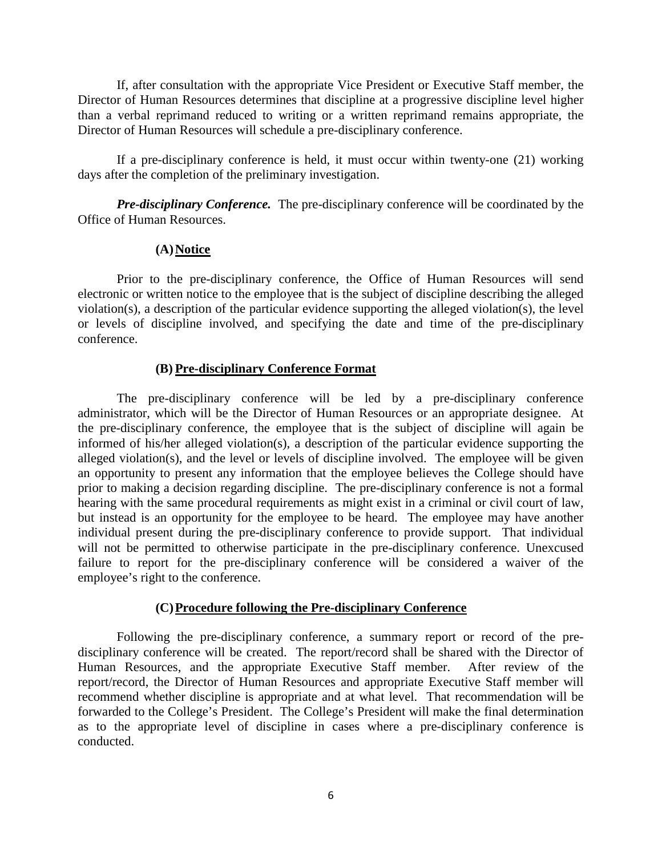If, after consultation with the appropriate Vice President or Executive Staff member, the Director of Human Resources determines that discipline at a progressive discipline level higher than a verbal reprimand reduced to writing or a written reprimand remains appropriate, the Director of Human Resources will schedule a pre-disciplinary conference.

If a pre-disciplinary conference is held, it must occur within twenty-one (21) working days after the completion of the preliminary investigation.

*Pre-disciplinary Conference.* The pre-disciplinary conference will be coordinated by the Office of Human Resources.

## (A) Notice

Prior to the pre-disciplinary conference, the Office of Human Resources will send electronic or written notice to the employee that is the subject of discipline describing the alleged violation(s), a description of the particular evidence supporting the alleged violation(s), the level or levels of discipline involved, and specifying the date and time of the pre-disciplinary conference.

## **(B) Pre-disciplinary Conference Format**

The pre-disciplinary conference will be led by a pre-disciplinary conference administrator, which will be the Director of Human Resources or an appropriate designee. At the pre-disciplinary conference, the employee that is the subject of discipline will again be informed of his/her alleged violation(s), a description of the particular evidence supporting the alleged violation(s), and the level or levels of discipline involved. The employee will be given an opportunity to present any information that the employee believes the College should have prior to making a decision regarding discipline. The pre-disciplinary conference is not a formal hearing with the same procedural requirements as might exist in a criminal or civil court of law, but instead is an opportunity for the employee to be heard. The employee may have another individual present during the pre-disciplinary conference to provide support. That individual will not be permitted to otherwise participate in the pre-disciplinary conference. Unexcused failure to report for the pre-disciplinary conference will be considered a waiver of the employee's right to the conference.

### **(C)Procedure following the Pre-disciplinary Conference**

Following the pre-disciplinary conference, a summary report or record of the predisciplinary conference will be created. The report/record shall be shared with the Director of Human Resources, and the appropriate Executive Staff member. After review of the report/record, the Director of Human Resources and appropriate Executive Staff member will recommend whether discipline is appropriate and at what level. That recommendation will be forwarded to the College's President. The College's President will make the final determination as to the appropriate level of discipline in cases where a pre-disciplinary conference is conducted.